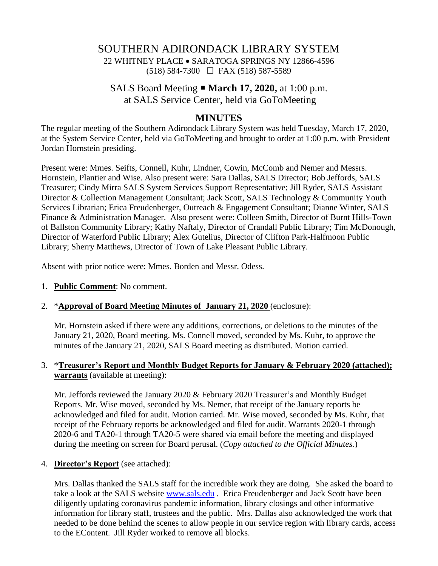# SOUTHERN ADIRONDACK LIBRARY SYSTEM 22 WHITNEY PLACE • SARATOGA SPRINGS NY 12866-4596 (518) 584-7300 FAX (518) 587-5589

SALS Board Meeting **March 17, 2020,** at 1:00 p.m. at SALS Service Center, held via GoToMeeting

## **MINUTES**

The regular meeting of the Southern Adirondack Library System was held Tuesday, March 17, 2020, at the System Service Center, held via GoToMeeting and brought to order at 1:00 p.m. with President Jordan Hornstein presiding.

Present were: Mmes. Seifts, Connell, Kuhr, Lindner, Cowin, McComb and Nemer and Messrs. Hornstein, Plantier and Wise. Also present were: Sara Dallas, SALS Director; Bob Jeffords, SALS Treasurer; Cindy Mirra SALS System Services Support Representative; Jill Ryder, SALS Assistant Director & Collection Management Consultant; Jack Scott, SALS Technology & Community Youth Services Librarian; Erica Freudenberger, Outreach & Engagement Consultant; Dianne Winter, SALS Finance & Administration Manager. Also present were: Colleen Smith, Director of Burnt Hills-Town of Ballston Community Library; Kathy Naftaly, Director of Crandall Public Library; Tim McDonough, Director of Waterford Public Library; Alex Gutelius, Director of Clifton Park-Halfmoon Public Library; Sherry Matthews, Director of Town of Lake Pleasant Public Library.

Absent with prior notice were: Mmes. Borden and Messr. Odess.

1. **Public Comment**: No comment.

#### 2. \***Approval of Board Meeting Minutes of January 21, 2020** (enclosure):

Mr. Hornstein asked if there were any additions, corrections, or deletions to the minutes of the January 21, 2020, Board meeting. Ms. Connell moved, seconded by Ms. Kuhr, to approve the minutes of the January 21, 2020, SALS Board meeting as distributed. Motion carried.

#### 3. \***Treasurer's Report and Monthly Budget Reports for January & February 2020 (attached); warrants** (available at meeting):

Mr. Jeffords reviewed the January 2020 & February 2020 Treasurer's and Monthly Budget Reports. Mr. Wise moved, seconded by Ms. Nemer, that receipt of the January reports be acknowledged and filed for audit. Motion carried. Mr. Wise moved, seconded by Ms. Kuhr, that receipt of the February reports be acknowledged and filed for audit. Warrants 2020-1 through 2020-6 and TA20-1 through TA20-5 were shared via email before the meeting and displayed during the meeting on screen for Board perusal. (*Copy attached to the Official Minutes.*)

#### 4. **Director's Report** (see attached):

Mrs. Dallas thanked the SALS staff for the incredible work they are doing. She asked the board to take a look at the SALS website [www.sals.edu](http://www.sals.edu/). Erica Freudenberger and Jack Scott have been diligently updating coronavirus pandemic information, library closings and other informative information for library staff, trustees and the public. Mrs. Dallas also acknowledged the work that needed to be done behind the scenes to allow people in our service region with library cards, access to the EContent. Jill Ryder worked to remove all blocks.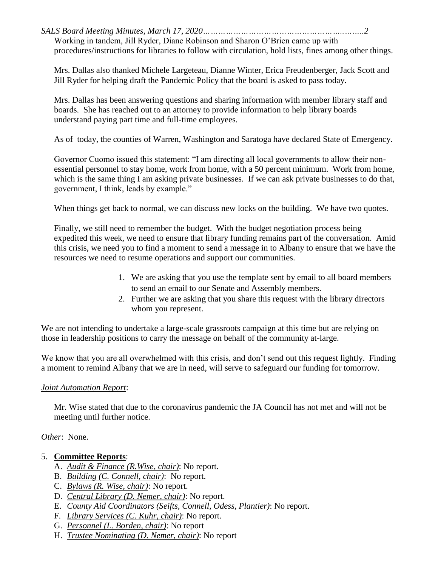*SALS Board Meeting Minutes, March 17, 2020………………………………………………..……..2* Working in tandem, Jill Ryder, Diane Robinson and Sharon O'Brien came up with procedures/instructions for libraries to follow with circulation, hold lists, fines among other things.

Mrs. Dallas also thanked Michele Largeteau, Dianne Winter, Erica Freudenberger, Jack Scott and Jill Ryder for helping draft the Pandemic Policy that the board is asked to pass today.

Mrs. Dallas has been answering questions and sharing information with member library staff and boards. She has reached out to an attorney to provide information to help library boards understand paying part time and full-time employees.

As of today, the counties of Warren, Washington and Saratoga have declared State of Emergency.

Governor Cuomo issued this statement: "I am directing all local governments to allow their nonessential personnel to stay home, work from home, with a 50 percent minimum. Work from home, which is the same thing I am asking private businesses. If we can ask private businesses to do that, government, I think, leads by example."

When things get back to normal, we can discuss new locks on the building. We have two quotes.

Finally, we still need to remember the budget. With the budget negotiation process being expedited this week, we need to ensure that library funding remains part of the conversation. Amid this crisis, we need you to find a moment to send a message in to Albany to ensure that we have the resources we need to resume operations and support our communities.

- 1. We are asking that you use the template sent by email to all board members to send an email to our Senate and Assembly members.
- 2. Further we are asking that you share this request with the library directors whom you represent.

We are not intending to undertake a large-scale grassroots campaign at this time but are relying on those in leadership positions to carry the message on behalf of the community at-large.

We know that you are all overwhelmed with this crisis, and don't send out this request lightly. Finding a moment to remind Albany that we are in need, will serve to safeguard our funding for tomorrow.

### *Joint Automation Report*:

Mr. Wise stated that due to the coronavirus pandemic the JA Council has not met and will not be meeting until further notice.

### *Other*: None.

## 5. **Committee Reports**:

- A. *Audit & Finance (R.Wise, chair)*: No report.
- B. *Building (C. Connell, chair)*: No report.
- C. *Bylaws (R. Wise, chair)*: No report.
- D. *Central Library (D. Nemer, chair)*: No report.
- E. *County Aid Coordinators (Seifts, Connell, Odess, Plantier)*: No report.
- F. *Library Services (C. Kuhr, chair)*: No report.
- G. *Personnel (L. Borden, chair)*: No report
- H. *Trustee Nominating (D. Nemer, chair)*: No report